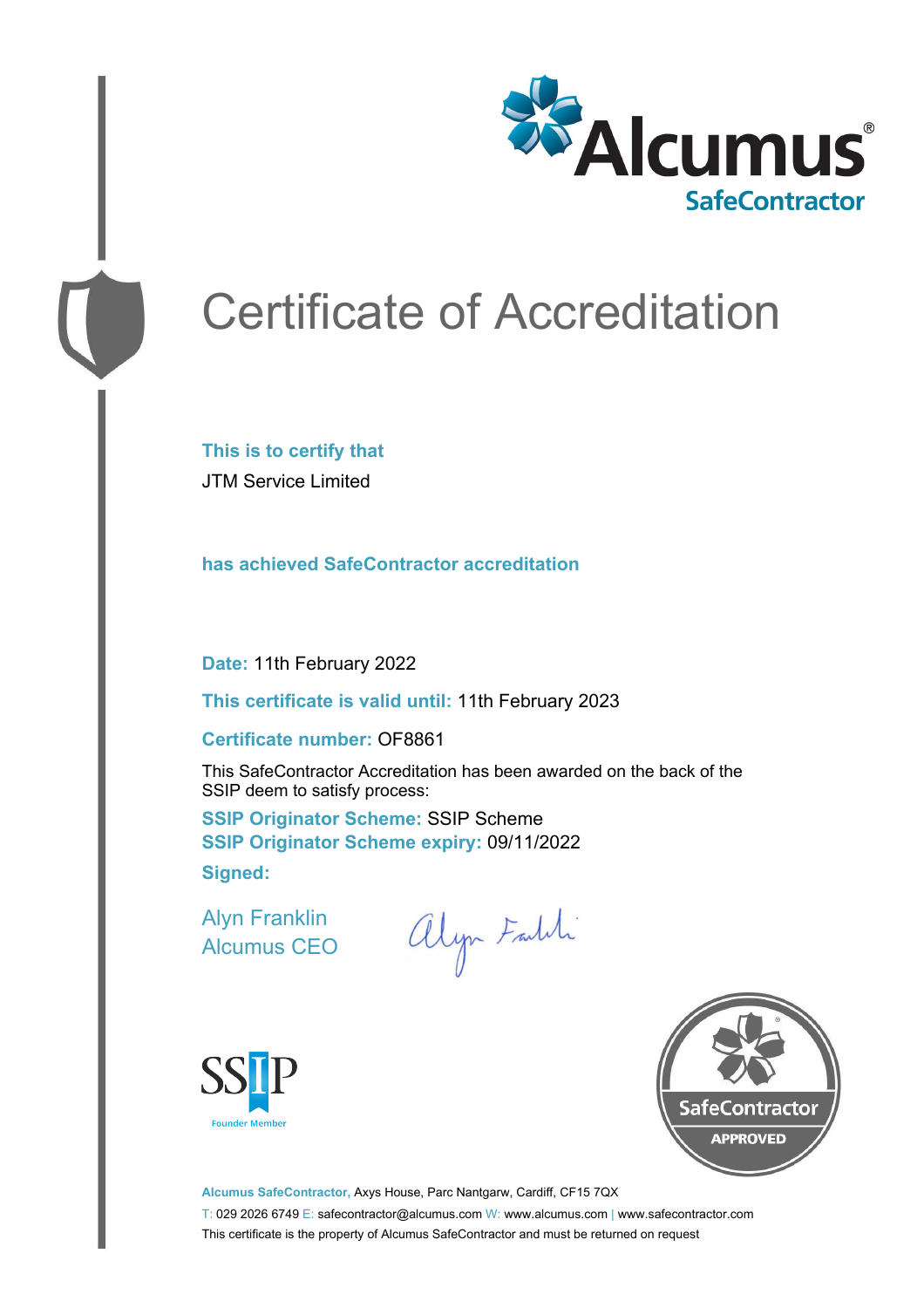

# Certificate of Accreditation

**This is to certify that** JTM Service Limited

**has achieved SafeContractor accreditation**

**Date:** 11th February 2022

**This certificate is valid until:** 11th February 2023

#### **Certificate number:** OF8861

This SafeContractor Accreditation has been awarded on the back of the SSIP deem to satisfy process:

**SSIP Originator Scheme:** SSIP Scheme **SSIP Originator Scheme expiry:** 09/11/2022 **Signed:**

Alyn Franklin Alcumus CEO

alyn Faldi





**Alcumus SafeContractor,** Axys House, Parc Nantgarw, Cardiff, CF15 7QX T: 029 2026 6749 E: safecontractor@alcumus.com W: www.alcumus.com | www.safecontractor.com This certificate is the property of Alcumus SafeContractor and must be returned on request